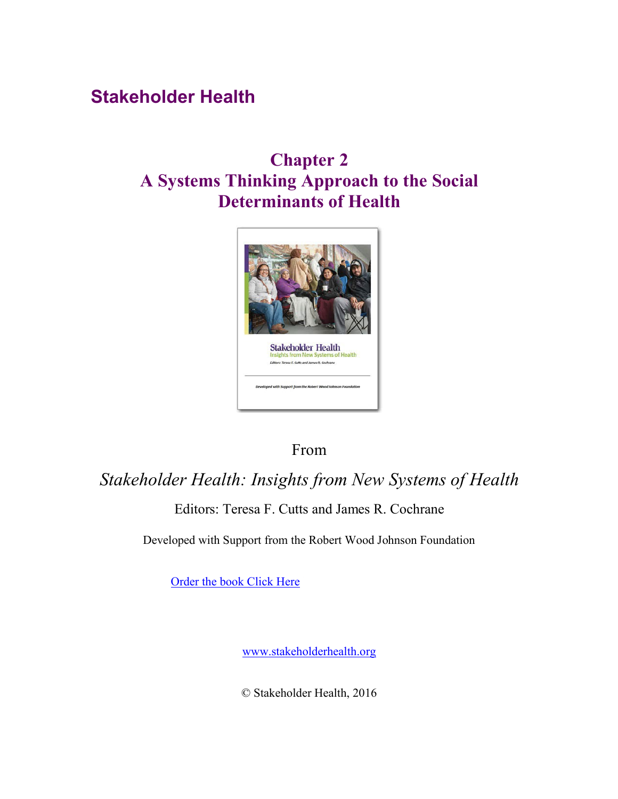# **Stakeholder Health**

# **Chapter 2 A Systems Thinking Approach to the Social Determinants of Health**



## From

# *Stakeholder Health: Insights from New Systems of Health*

## Editors: Teresa F. Cutts and James R. Cochrane

Developed with Support from the Robert Wood Johnson Foundation

Order the [book Click Here](https://www.amazon.com/Stakeholder-Health-Insights-New-Systems/dp/069270728X?ie=UTF8&keywords=%26%2334%3Bstakeholder%20health%26%2334%3B&qid=1464881294&ref_=sr_1_2&s=books&sr=1-2)

[www.stakeholderhealth.org](http://www.stakeholderhealth.org/)

© Stakeholder Health, 2016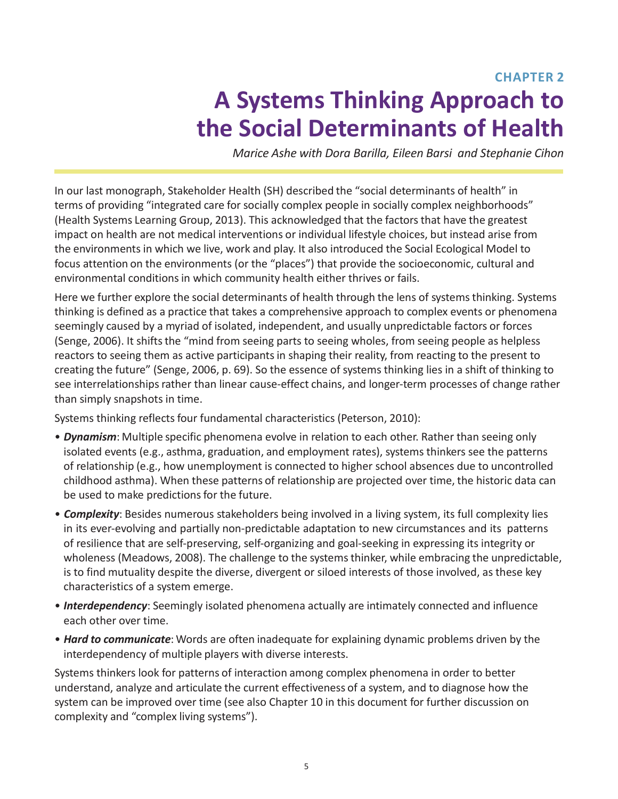# **CHAPTER 2 A Systems Thinking Approach to the Social Determinants of Health**

*Marice Ashe with Dora Barilla, Eileen Barsi and Stephanie Cihon*

In our last monograph, Stakeholder Health (SH) described the "social determinants of health" in terms of providing "integrated care for socially complex people in socially complex neighborhoods" (Health Systems Learning Group, 2013). This acknowledged that the factorsthat have the greatest impact on health are not medical interventions or individual lifestyle choices, but instead arise from the environments in which we live, work and play. It also introduced the Social Ecological Model to focus attention on the environments (or the "places") that provide the socioeconomic, cultural and environmental conditions in which community health either thrives or fails.

Here we further explore the social determinants of health through the lens of systems thinking. Systems thinking is defined as a practice that takes a comprehensive approach to complex events or phenomena seemingly caused by a myriad of isolated, independent, and usually unpredictable factors or forces (Senge, 2006). It shifts the "mind from seeing parts to seeing wholes, from seeing people as helpless reactors to seeing them as active participants in shaping their reality, from reacting to the present to creating the future" (Senge, 2006, p. 69). So the essence of systems thinking lies in a shift of thinking to see interrelationships rather than linear cause-effect chains, and longer-term processes of change rather than simply snapshots in time.

Systems thinking reflects four fundamental characteristics (Peterson, 2010):

- *Dynamism*: Multiple specific phenomena evolve in relation to each other. Rather than seeing only isolated events (e.g., asthma, graduation, and employment rates), systems thinkers see the patterns of relationship (e.g., how unemployment is connected to higher school absences due to uncontrolled childhood asthma). When these patterns of relationship are projected over time, the historic data can be used to make predictions for the future.
- *Complexity*: Besides numerous stakeholders being involved in a living system, its full complexity lies in its ever-evolving and partially non-predictable adaptation to new circumstances and its patterns of resilience that are self-preserving, self-organizing and goal-seeking in expressing its integrity or wholeness (Meadows, 2008). The challenge to the systemsthinker, while embracing the unpredictable, is to find mutuality despite the diverse, divergent or siloed interests of those involved, as these key characteristics of a system emerge.
- *Interdependency*: Seemingly isolated phenomena actually are intimately connected and influence each other over time.
- *Hard to communicate*: Words are often inadequate for explaining dynamic problems driven by the interdependency of multiple players with diverse interests.

Systems thinkers look for patterns of interaction among complex phenomena in order to better understand, analyze and articulate the current effectiveness of a system, and to diagnose how the system can be improved over time (see also Chapter 10 in this document for further discussion on complexity and "complex living systems").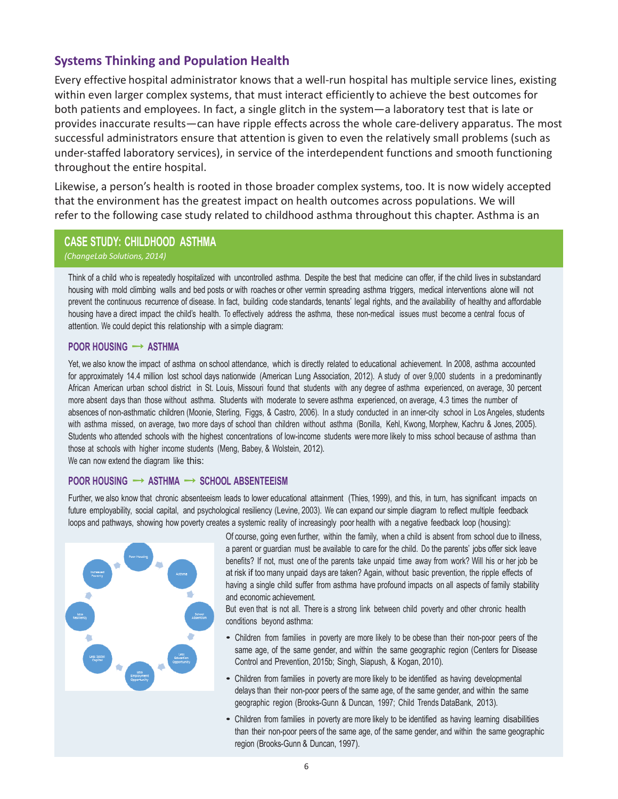### **Systems Thinking and Population Health**

Every effective hospital administrator knows that a well-run hospital has multiple service lines, existing within even larger complex systems, that must interact efficiently to achieve the best outcomes for both patients and employees. In fact, a single glitch in the system—a laboratory test that is late or provides inaccurate results—can have ripple effects across the whole care-delivery apparatus. The most successful administrators ensure that attention is given to even the relatively small problems (such as under-staffed laboratory services), in service of the interdependent functions and smooth functioning throughout the entire hospital.

Likewise, a person's health is rooted in those broader complex systems, too. It is now widely accepted that the environment has the greatest impact on health outcomes across populations. We will refer to the following case study related to childhood asthma throughout this chapter. Asthma is an

### **CASE STUDY: CHILDHOOD ASTHMA**

*(ChangeLab Solutions, 2014)*

Think of a child who is repeatedly hospitalized with uncontrolled asthma. Despite the best that medicine can offer, if the child lives in substandard housing with mold climbing walls and bed posts or with roaches or other vermin spreading asthma triggers, medical interventions alone will not prevent the continuous recurrence of disease. In fact, building code standards, tenants' legal rights, and the availability of healthy and affordable housing have a direct impact the child's health. To effectively address the asthma, these non-medical issues must become a central focus of attention. We could depict this relationship with a simple diagram:

#### **POOR HOUSING** ➙ **ASTHMA**

Yet, we also know the impact of asthma on school attendance, which is directly related to educational achievement. In 2008, asthma accounted for approximately 14.4 million lost school days nationwide (American Lung Association, 2012). A study of over 9,000 students in a predominantly African American urban school district in St. Louis, Missouri found that students with any degree of asthma experienced, on average, 30 percent more absent days than those without asthma. Students with moderate to severe asthma experienced, on average, 4.3 times the number of absences of non-asthmatic children (Moonie, Sterling, Figgs, & Castro, 2006). In a study conducted in an inner-city school in Los Angeles, students with asthma missed, on average, two more days of school than children without asthma (Bonilla, Kehl, Kwong, Morphew, Kachru & Jones, 2005). Students who attended schools with the highest concentrations of low-income students were more likely to miss school because of asthma than those at schools with higher income students (Meng, Babey, & Wolstein, 2012).

We can now extend the diagram like this:

#### **POOR HOUSING** ➙ **ASTHMA** ➙ **SCHOOL ABSENTEEISM**

Further, we also know that chronic absenteeism leads to lower educational attainment (Thies, 1999), and this, in turn, has significant impacts on future employability, social capital, and psychological resiliency (Levine, 2003). We can expand our simple diagram to reflect multiple feedback loops and pathways, showing how poverty creates a systemic reality of increasingly poor health with a negative feedback loop (housing):



Of course, going even further, within the family, when a child is absent from school due to illness, a parent or guardian must be available to care for the child. Do the parents' jobs offer sick leave benefits? If not, must one of the parents take unpaid time away from work? Will his or her job be at risk if too many unpaid days are taken? Again, without basic prevention, the ripple effects of having a single child suffer from asthma have profound impacts on all aspects of family stability and economic achievement.

But even that is not all. There is a strong link between child poverty and other chronic health conditions beyond asthma:

- Children from families in poverty are more likely to be obese than their non-poor peers of the same age, of the same gender, and within the same geographic region (Centers for Disease Control and Prevention, 2015b; Singh, Siapush, & Kogan, 2010).
- Children from families in poverty are more likely to be identified as having developmental delays than their non-poor peers of the same age, of the same gender, and within the same geographic region (Brooks-Gunn & Duncan, 1997; Child Trends DataBank, 2013).
- Children from families in poverty are more likely to be identified as having learning disabilities than their non-poor peers of the same age, of the same gender, and within the same geographic region (Brooks-Gunn & Duncan, 1997).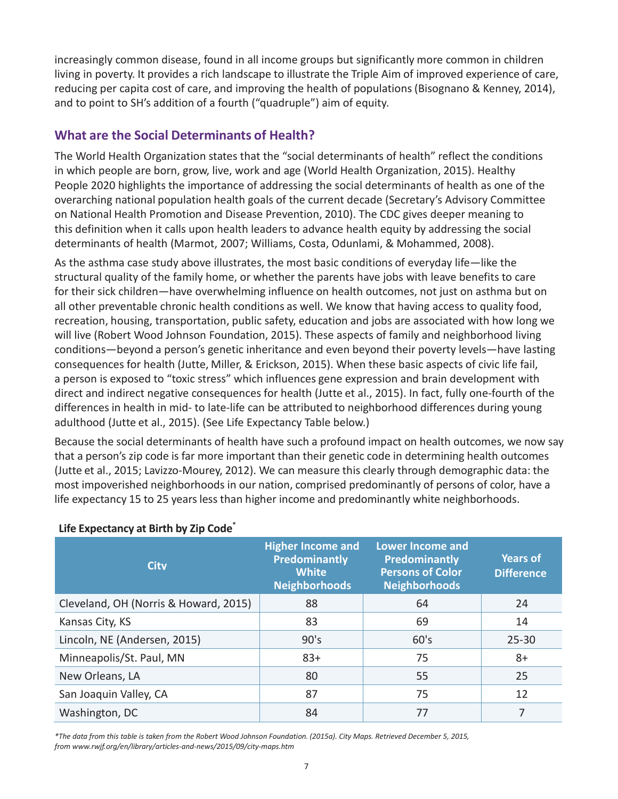increasingly common disease, found in all income groups but significantly more common in children living in poverty. It provides a rich landscape to illustrate the Triple Aim of improved experience of care, reducing per capita cost of care, and improving the health of populations (Bisognano & Kenney, 2014), and to point to SH's addition of a fourth ("quadruple") aim of equity.

## **What are the Social Determinants of Health?**

The World Health Organization states that the "social determinants of health" reflect the conditions in which people are born, grow, live, work and age (World Health Organization, 2015). Healthy People 2020 highlights the importance of addressing the social determinants of health as one of the overarching national population health goals of the current decade (Secretary's Advisory Committee on National Health Promotion and Disease Prevention, 2010). The CDC gives deeper meaning to this definition when it calls upon health leaders to advance health equity by addressing the social determinants of health (Marmot, 2007; Williams, Costa, Odunlami, & Mohammed, 2008).

As the asthma case study above illustrates, the most basic conditions of everyday life—like the structural quality of the family home, or whether the parents have jobs with leave benefits to care for their sick children—have overwhelming influence on health outcomes, not just on asthma but on all other preventable chronic health conditions as well. We know that having access to quality food, recreation, housing, transportation, public safety, education and jobs are associated with how long we will live (Robert Wood Johnson Foundation, 2015). These aspects of family and neighborhood living conditions—beyond a person's genetic inheritance and even beyond their poverty levels—have lasting consequences for health (Jutte, Miller, & Erickson, 2015). When these basic aspects of civic life fail, a person is exposed to "toxic stress" which influences gene expression and brain development with direct and indirect negative consequences for health (Jutte et al., 2015). In fact, fully one-fourth of the differences in health in mid- to late-life can be attributed to neighborhood differences during young adulthood (Jutte et al., 2015). (See Life Expectancy Table below.)

Because the social determinants of health have such a profound impact on health outcomes, we now say that a person's zip code is far more important than their genetic code in determining health outcomes (Jutte et al., 2015; Lavizzo-Mourey, 2012). We can measure this clearly through demographic data: the most impoverished neighborhoods in our nation, comprised predominantly of persons of color, have a life expectancy 15 to 25 years less than higher income and predominantly white neighborhoods.

| <b>City</b>                           | <b>Higher Income and</b><br><b>Predominantly</b><br><b>White</b><br><b>Neighborhoods</b> | <b>Lower Income and</b><br><b>Predominantly</b><br><b>Persons of Color</b><br><b>Neighborhoods</b> | <b>Years of</b><br><b>Difference</b> |
|---------------------------------------|------------------------------------------------------------------------------------------|----------------------------------------------------------------------------------------------------|--------------------------------------|
| Cleveland, OH (Norris & Howard, 2015) | 88                                                                                       | 64                                                                                                 | 24                                   |
| Kansas City, KS                       | 83                                                                                       | 69                                                                                                 | 14                                   |
| Lincoln, NE (Andersen, 2015)          | 90's                                                                                     | 60's                                                                                               | $25 - 30$                            |
| Minneapolis/St. Paul, MN              | $83+$                                                                                    | 75                                                                                                 | $8+$                                 |
| New Orleans, LA                       | 80                                                                                       | 55                                                                                                 | 25                                   |
| San Joaquin Valley, CA                | 87                                                                                       | 75                                                                                                 | 12                                   |
| Washington, DC                        | 84                                                                                       | 77                                                                                                 | 7                                    |

#### **Life Expectancy at Birth by Zip Code\***

*\*The data from this table is taken from the Robert Wood Johnson Foundation. (2015a). City Maps. Retrieved December 5, 2015, fro[m www.rwjf.org/en/library/articles-and-news/2015/09/city-maps.htm](http://www.rwjf.org/en/library/articles-and-news/2015/09/city-maps.htm)*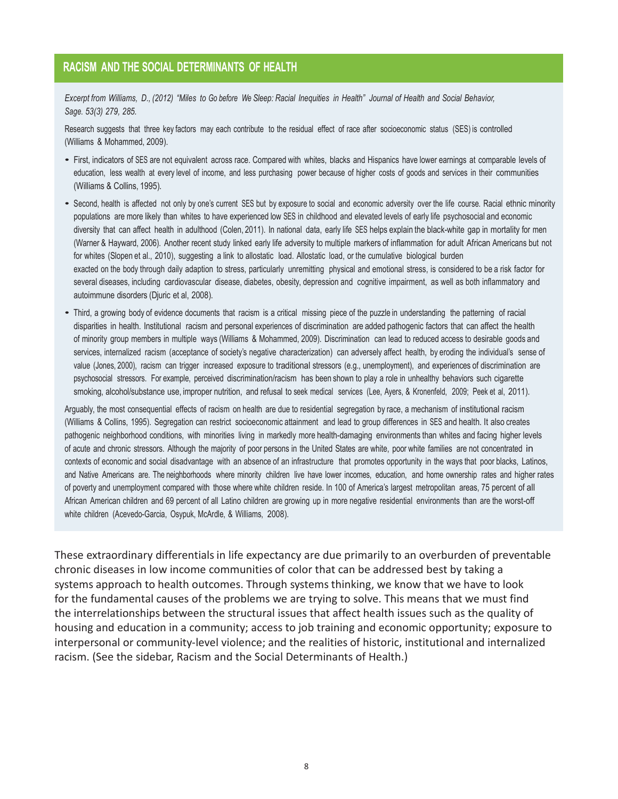#### **RACISM AND THE SOCIAL DETERMINANTS OF HEALTH**

Excerpt from Williams, D., (2012) "Miles to Go before We Sleep: Racial Inequities in Health" Journal of Health and Social Behavior, *Sage. 53(3) 279, 285.*

Research suggests that three key factors may each contribute to the residual effect of race after socioeconomic status (SES) is controlled (Williams & Mohammed, 2009).

- First, indicators of SES are not equivalent across race. Compared with whites, blacks and Hispanics have lower earnings at comparable levels of education, less wealth at every level of income, and less purchasing power because of higher costs of goods and services in their communities (Williams & Collins, 1995).
- Second, health is affected not only by one's current SES but by exposure to social and economic adversity over the life course. Racial ethnic minority populations are more likely than whites to have experienced low SES in childhood and elevated levels of early life psychosocial and economic diversity that can affect health in adulthood (Colen, 2011). In national data, early life SES helps explain the black-white gap in mortality for men (Warner & Hayward, 2006). Another recent study linked early life adversity to multiple markers of inflammation for adult African Americans but not for whites (Slopen et al., 2010), suggesting a link to allostatic load. Allostatic load, or the cumulative biological burden exacted on the body through daily adaption to stress, particularly unremitting physical and emotional stress, is considered to be a risk factor for several diseases, including cardiovascular disease, diabetes, obesity, depression and cognitive impairment, as well as both inflammatory and autoimmune disorders (Djuric et al, 2008).
- Third, <sup>a</sup> growing body of evidence documents that racism is <sup>a</sup> critical missing piece of the puzzle in understanding the patterning of racial disparities in health. Institutional racism and personal experiences of discrimination are added pathogenic factors that can affect the health of minority group members in multiple ways (Williams & Mohammed, 2009). Discrimination can lead to reduced access to desirable goods and services, internalized racism (acceptance of society's negative characterization) can adversely affect health, by eroding the individual's sense of value (Jones, 2000), racism can trigger increased exposure to traditional stressors (e.g., unemployment), and experiences of discrimination are psychosocial stressors. For example, perceived discrimination/racism has been shown to play a role in unhealthy behaviors such cigarette smoking, alcohol/substance use, improper nutrition, and refusal to seek medical services (Lee, Ayers, & Kronenfeld, 2009; Peek et al, 2011).

Arguably, the most consequential effects of racism on health are due to residential segregation by race, a mechanism of institutional racism (Williams & Collins, 1995). Segregation can restrict socioeconomic attainment and lead to group differences in SES and health. It also creates pathogenic neighborhood conditions, with minorities living in markedly more health-damaging environments than whites and facing higher levels of acute and chronic stressors. Although the majority of poor persons in the United States are white, poor white families are not concentrated in contexts of economic and social disadvantage with an absence of an infrastructure that promotes opportunity in the ways that poor blacks, Latinos, and Native Americans are. The neighborhoods where minority children live have lower incomes, education, and home ownership rates and higher rates of poverty and unemployment compared with those where white children reside. In 100 of America's largest metropolitan areas, 75 percent of all African American children and 69 percent of all Latino children are growing up in more negative residential environments than are the worst-off white children (Acevedo-Garcia, Osypuk, McArdle, & Williams, 2008).

These extraordinary differentialsin life expectancy are due primarily to an overburden of preventable chronic diseases in low income communities of color that can be addressed best by taking a systems approach to health outcomes. Through systemsthinking, we know that we have to look for the fundamental causes of the problems we are trying to solve. This means that we must find the interrelationships between the structural issues that affect health issues such as the quality of housing and education in a community; access to job training and economic opportunity; exposure to interpersonal or community-level violence; and the realities of historic, institutional and internalized racism. (See the sidebar, Racism and the Social Determinants of Health.)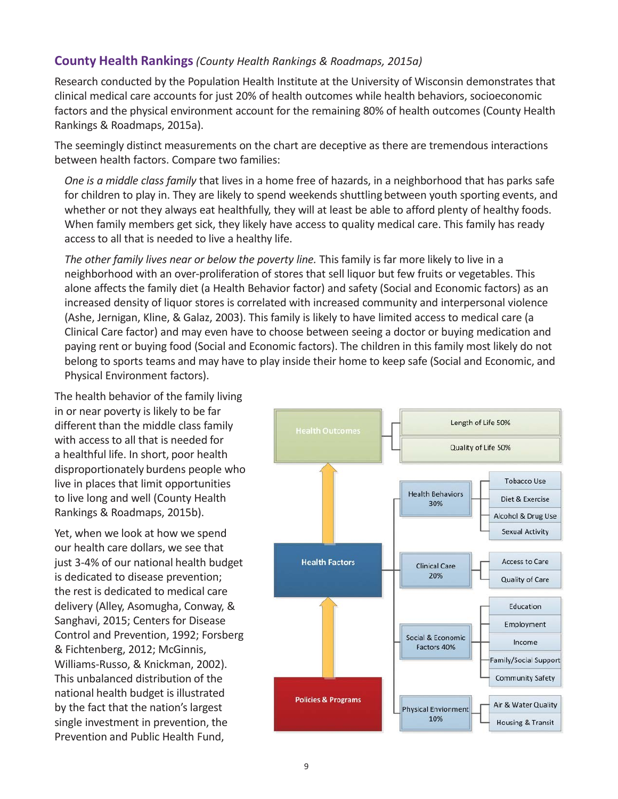### **County Health Rankings***(County Health Rankings & Roadmaps, 2015a)*

Research conducted by the Population Health Institute at the University of Wisconsin demonstrates that clinical medical care accounts for just 20% of health outcomes while health behaviors, socioeconomic factors and the physical environment account for the remaining 80% of health outcomes (County Health Rankings & Roadmaps, 2015a).

The seemingly distinct measurements on the chart are deceptive as there are tremendous interactions between health factors. Compare two families:

*One is a middle class family* that lives in a home free of hazards, in a neighborhood that has parks safe for children to play in. They are likely to spend weekends shuttling between youth sporting events, and whether or not they always eat healthfully, they will at least be able to afford plenty of healthy foods. When family members get sick, they likely have access to quality medical care. This family has ready accessto all that is needed to live a healthy life.

*The other family lives near or below the poverty line.* This family is far more likely to live in a neighborhood with an over-proliferation of stores that sell liquor but few fruits or vegetables. This alone affects the family diet (a Health Behavior factor) and safety (Social and Economic factors) as an increased density of liquor stores is correlated with increased community and interpersonal violence (Ashe, Jernigan, Kline, & Galaz, 2003). This family is likely to have limited access to medical care (a Clinical Care factor) and may even have to choose between seeing a doctor or buying medication and paying rent or buying food (Social and Economic factors). The children in this family most likely do not belong to sports teams and may have to play inside their home to keep safe (Social and Economic, and Physical Environment factors).

The health behavior of the family living in or near poverty is likely to be far different than the middle class family with access to all that is needed for a healthful life. In short, poor health disproportionately burdens people who live in places that limit opportunities to live long and well (County Health Rankings & Roadmaps, 2015b).

Yet, when we look at how we spend our health care dollars, we see that just 3-4% of our national health budget is dedicated to disease prevention; the rest is dedicated to medical care delivery (Alley, Asomugha, Conway, & Sanghavi, 2015; Centers for Disease Control and Prevention, 1992; Forsberg & Fichtenberg, 2012; McGinnis, Williams-Russo, & Knickman, 2002). This unbalanced distribution of the national health budget is illustrated by the fact that the nation's largest single investment in prevention, the Prevention and Public Health Fund,

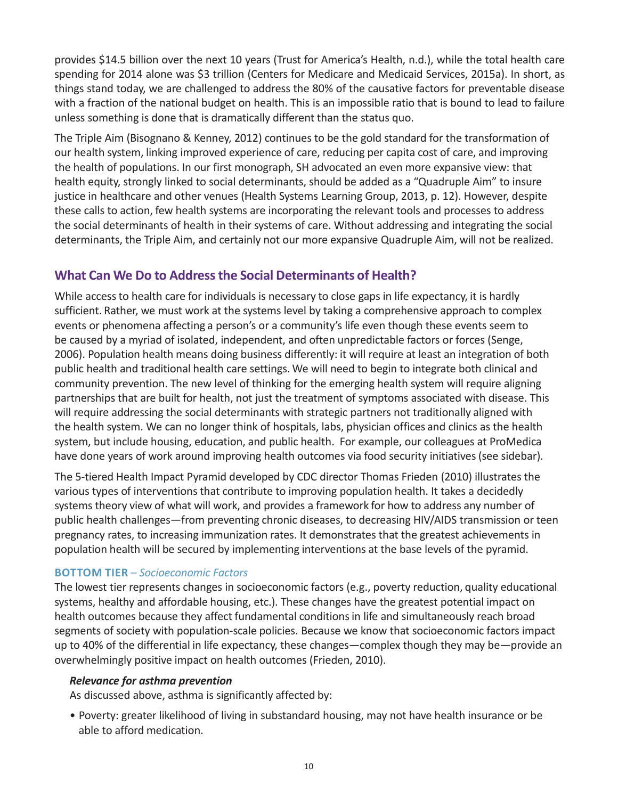provides \$14.5 billion over the next 10 years (Trust for America's Health, n.d.), while the total health care spending for 2014 alone was \$3 trillion (Centers for Medicare and Medicaid Services, 2015a). In short, as things stand today, we are challenged to address the 80% of the causative factors for preventable disease with a fraction of the national budget on health. This is an impossible ratio that is bound to lead to failure unless something is done that is dramatically different than the status quo.

The Triple Aim (Bisognano & Kenney, 2012) continues to be the gold standard for the transformation of our health system, linking improved experience of care, reducing per capita cost of care, and improving the health of populations. In our first monograph, SH advocated an even more expansive view: that health equity, strongly linked to social determinants, should be added as a "Quadruple Aim" to insure justice in healthcare and other venues (Health Systems Learning Group, 2013, p. 12). However, despite these calls to action, few health systems are incorporating the relevant tools and processes to address the social determinants of health in their systems of care. Without addressing and integrating the social determinants, the Triple Aim, and certainly not our more expansive Quadruple Aim, will not be realized.

## **What Can We Do to Addressthe Social Determinants of Health?**

While access to health care for individuals is necessary to close gaps in life expectancy, it is hardly sufficient. Rather, we must work at the systems level by taking a comprehensive approach to complex events or phenomena affecting a person's or a community's life even though these events seem to be caused by a myriad of isolated, independent, and often unpredictable factors or forces (Senge, 2006). Population health means doing business differently: it will require at least an integration of both public health and traditional health care settings. We will need to begin to integrate both clinical and community prevention. The new level of thinking for the emerging health system will require aligning partnerships that are built for health, not just the treatment of symptoms associated with disease. This will require addressing the social determinants with strategic partners not traditionally aligned with the health system. We can no longer think of hospitals, labs, physician offices and clinics as the health system, but include housing, education, and public health. For example, our colleagues at ProMedica have done years of work around improving health outcomes via food security initiatives (see sidebar).

The 5-tiered Health Impact Pyramid developed by CDC director Thomas Frieden (2010) illustrates the various types of interventions that contribute to improving population health. It takes a decidedly systems theory view of what will work, and provides a framework for how to address any number of public health challenges—from preventing chronic diseases, to decreasing HIV/AIDS transmission or teen pregnancy rates, to increasing immunization rates. It demonstrates that the greatest achievements in population health will be secured by implementing interventions at the base levels of the pyramid.

#### **BOTTOM TIER** – *Socioeconomic Factors*

The lowest tier represents changes in socioeconomic factors (e.g., poverty reduction, quality educational systems, healthy and affordable housing, etc.). These changes have the greatest potential impact on health outcomes because they affect fundamental conditionsin life and simultaneously reach broad segments of society with population-scale policies. Because we know that socioeconomic factors impact up to 40% of the differential in life expectancy, these changes—complex though they may be—provide an overwhelmingly positive impact on health outcomes (Frieden, 2010).

#### *Relevance for asthma prevention*

As discussed above, asthma is significantly affected by:

• Poverty: greater likelihood of living in substandard housing, may not have health insurance or be able to afford medication.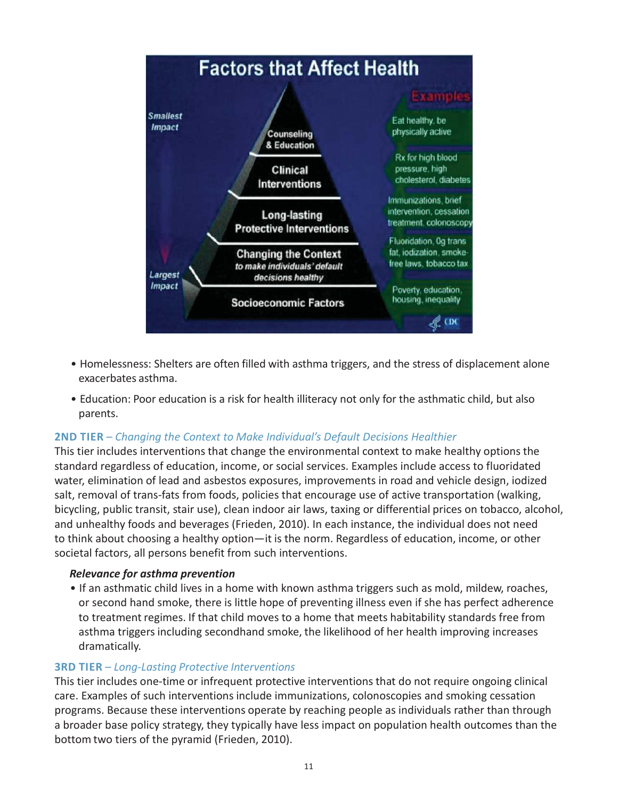

- Homelessness: Shelters are often filled with asthma triggers, and the stress of displacement alone exacerbates asthma.
- Education: Poor education is a risk for health illiteracy not only for the asthmatic child, but also parents.

#### **2ND TIER** – *Changing the Context to Make Individual's Default Decisions Healthier*

This tier includes interventions that change the environmental context to make healthy options the standard regardless of education, income, or social services. Examples include access to fluoridated water, elimination of lead and asbestos exposures, improvements in road and vehicle design, iodized salt, removal of trans-fats from foods, policies that encourage use of active transportation (walking, bicycling, public transit, stair use), clean indoor air laws, taxing or differential prices on tobacco, alcohol, and unhealthy foods and beverages (Frieden, 2010). In each instance, the individual does not need to think about choosing a healthy option—it is the norm. Regardless of education, income, or other societal factors, all persons benefit from such interventions.

#### *Relevance for asthma prevention*

• If an asthmatic child lives in a home with known asthma triggers such as mold, mildew, roaches, or second hand smoke, there is little hope of preventing illness even if she has perfect adherence to treatment regimes. If that child moves to a home that meets habitability standards free from asthma triggers including secondhand smoke, the likelihood of her health improving increases dramatically.

#### **3RD TIER** – *Long-Lasting Protective Interventions*

This tier includes one-time or infrequent protective interventions that do not require ongoing clinical care. Examples of such interventions include immunizations, colonoscopies and smoking cessation programs. Because these interventions operate by reaching people as individuals rather than through a broader base policy strategy, they typically have less impact on population health outcomes than the bottom two tiers of the pyramid (Frieden, 2010).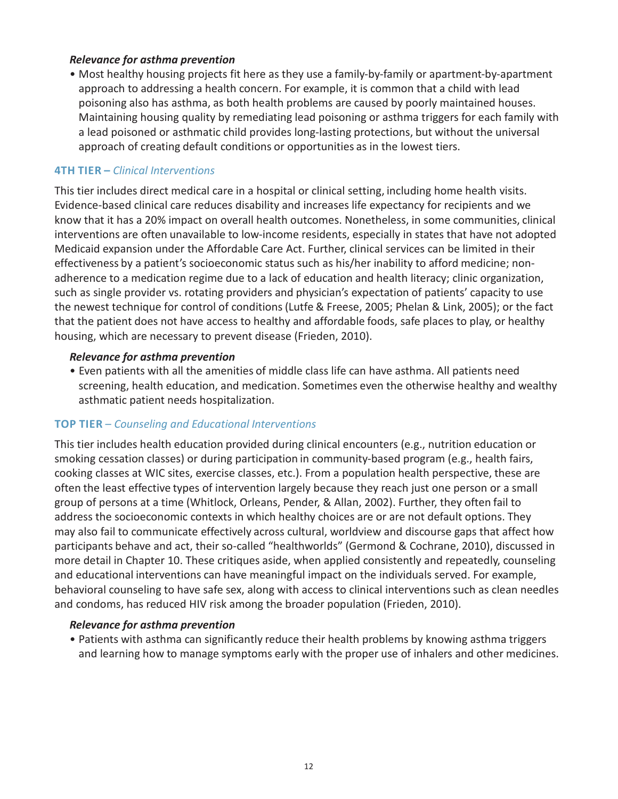#### *Relevance for asthma prevention*

• Most healthy housing projects fit here as they use a family-by-family or apartment-by-apartment approach to addressing a health concern. For example, it is common that a child with lead poisoning also has asthma, as both health problems are caused by poorly maintained houses. Maintaining housing quality by remediating lead poisoning or asthma triggers for each family with a lead poisoned or asthmatic child provides long-lasting protections, but without the universal approach of creating default conditions or opportunities as in the lowest tiers.

#### **4TH TIER –** *Clinical Interventions*

This tier includes direct medical care in a hospital or clinical setting, including home health visits. Evidence-based clinical care reduces disability and increases life expectancy for recipients and we know that it has a 20% impact on overall health outcomes. Nonetheless, in some communities, clinical interventions are often unavailable to low-income residents, especially in states that have not adopted Medicaid expansion under the Affordable Care Act. Further, clinical services can be limited in their effectiveness by a patient's socioeconomic status such as his/her inability to afford medicine; nonadherence to a medication regime due to a lack of education and health literacy; clinic organization, such as single provider vs. rotating providers and physician's expectation of patients' capacity to use the newest technique for control of conditions(Lutfe & Freese, 2005; Phelan & Link, 2005); or the fact that the patient does not have access to healthy and affordable foods, safe places to play, or healthy housing, which are necessary to prevent disease (Frieden, 2010).

#### *Relevance for asthma prevention*

• Even patients with all the amenities of middle class life can have asthma. All patients need screening, health education, and medication. Sometimes even the otherwise healthy and wealthy asthmatic patient needs hospitalization.

#### **TOP TIER** – *Counseling and Educational Interventions*

This tier includes health education provided during clinical encounters (e.g., nutrition education or smoking cessation classes) or during participation in community-based program (e.g., health fairs, cooking classes at WIC sites, exercise classes, etc.). From a population health perspective, these are often the least effective types of intervention largely because they reach just one person or a small group of persons at a time (Whitlock, Orleans, Pender, & Allan, 2002). Further, they often fail to address the socioeconomic contexts in which healthy choices are or are not default options. They may also fail to communicate effectively across cultural, worldview and discourse gaps that affect how participants behave and act, their so-called "healthworlds" (Germond & Cochrane, 2010), discussed in more detail in Chapter 10. These critiques aside, when applied consistently and repeatedly, counseling and educational interventions can have meaningful impact on the individuals served. For example, behavioral counseling to have safe sex, along with access to clinical interventions such as clean needles and condoms, has reduced HIV risk among the broader population (Frieden, 2010).

#### *Relevance for asthma prevention*

• Patients with asthma can significantly reduce their health problems by knowing asthma triggers and learning how to manage symptoms early with the proper use of inhalers and other medicines.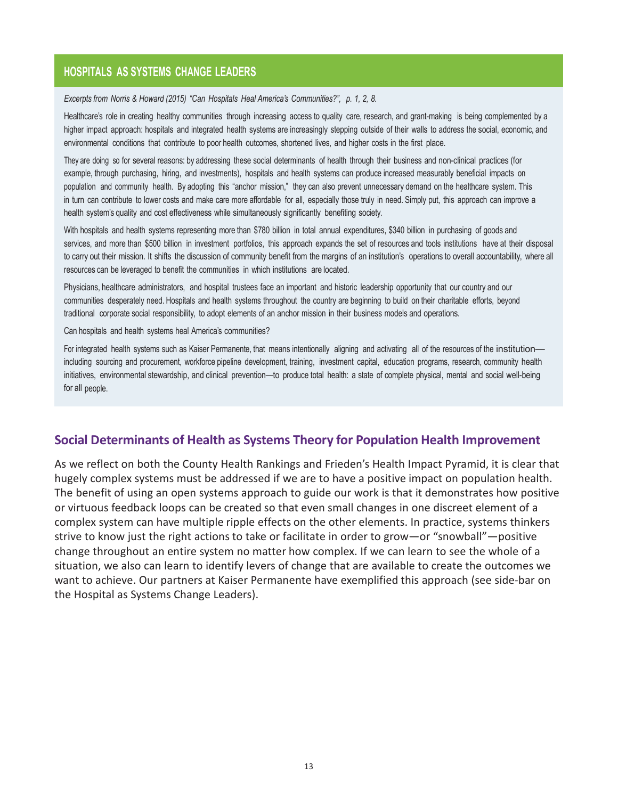### **HOSPITALS AS SYSTEMS CHANGE LEADERS**

*Excerpts from Norris & Howard (2015) "Can Hospitals Heal America's Communities?", p. 1, 2, 8.*

Healthcare's role in creating healthy communities through increasing access to quality care, research, and grant-making is being complemented by a higher impact approach: hospitals and integrated health systems are increasingly stepping outside of their walls to address the social, economic, and environmental conditions that contribute to poor health outcomes, shortened lives, and higher costs in the first place.

They are doing so for several reasons: by addressing these social determinants of health through their business and non-clinical practices (for example, through purchasing, hiring, and investments), hospitals and health systems can produce increased measurably beneficial impacts on population and community health. By adopting this "anchor mission," they can also prevent unnecessary demand on the healthcare system. This in turn can contribute to lower costs and make care more affordable for all, especially those truly in need. Simply put, this approach can improve a health system's quality and cost effectiveness while simultaneously significantly benefiting society.

With hospitals and health systems representing more than \$780 billion in total annual expenditures, \$340 billion in purchasing of goods and services, and more than \$500 billion in investment portfolios, this approach expands the set of resources and tools institutions have at their disposal to carry out their mission. It shifts the discussion of community benefit from the margins of an institution's operations to overall accountability, where all resources can be leveraged to benefit the communities in which institutions are located.

Physicians, healthcare administrators, and hospital trustees face an important and historic leadership opportunity that our country and our communities desperately need. Hospitals and health systems throughout the country are beginning to build on their charitable efforts, beyond traditional corporate social responsibility, to adopt elements of an anchor mission in their business models and operations.

Can hospitals and health systems heal America's communities?

For integrated health systems such as Kaiser Permanente, that means intentionally aligning and activating all of the resources of the institutionincluding sourcing and procurement, workforce pipeline development, training, investment capital, education programs, research, community health initiatives, environmental stewardship, and clinical prevention—to produce total health: a state of complete physical, mental and social well-being for all people.

#### **Social Determinants of Health as Systems Theory for Population Health Improvement**

As we reflect on both the County Health Rankings and Frieden's Health Impact Pyramid, it is clear that hugely complex systems must be addressed if we are to have a positive impact on population health. The benefit of using an open systems approach to guide our work is that it demonstrates how positive or virtuous feedback loops can be created so that even small changes in one discreet element of a complex system can have multiple ripple effects on the other elements. In practice, systems thinkers strive to know just the right actions to take or facilitate in order to grow—or "snowball"—positive change throughout an entire system no matter how complex. If we can learn to see the whole of a situation, we also can learn to identify levers of change that are available to create the outcomes we want to achieve. Our partners at Kaiser Permanente have exemplified this approach (see side-bar on the Hospital as Systems Change Leaders).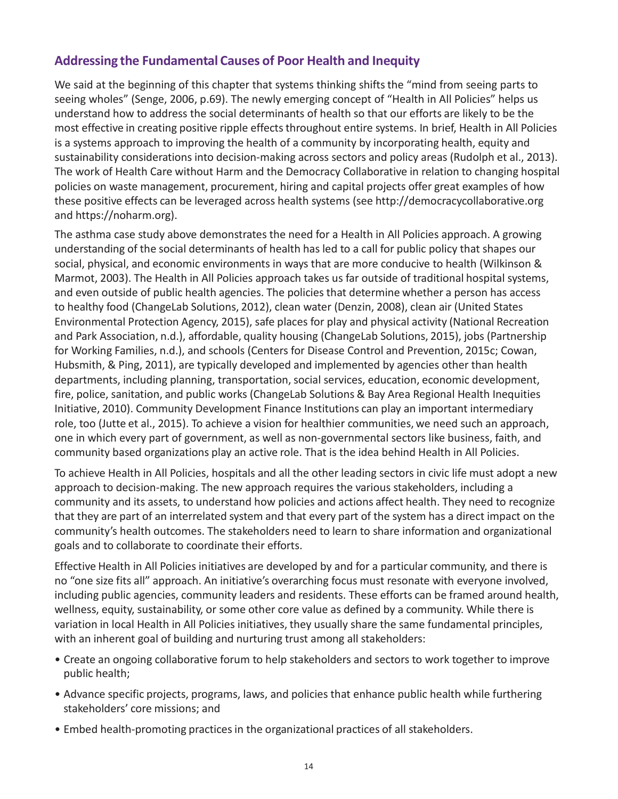## **Addressing the Fundamental Causes of Poor Health and Inequity**

We said at the beginning of this chapter that systems thinking shifts the "mind from seeing parts to seeing wholes" (Senge, 2006, p.69). The newly emerging concept of "Health in All Policies" helps us understand how to address the social determinants of health so that our efforts are likely to be the most effective in creating positive ripple effects throughout entire systems. In brief, Health in All Policies is a systems approach to improving the health of a community by incorporating health, equity and sustainability considerations into decision-making across sectors and policy areas (Rudolph et al., 2013). The work of Health Care without Harm and the Democracy Collaborative in relation to changing hospital policies on waste management, procurement, hiring and capital projects offer great examples of how these positive effects can be leveraged across health systems (see [http://democracycollaborative.org](http://democracycollaborative.org/) and https://noharm.org).

The asthma case study above demonstrates the need for a Health in All Policies approach. A growing understanding of the social determinants of health has led to a call for public policy that shapes our social, physical, and economic environments in ways that are more conducive to health (Wilkinson & Marmot, 2003). The Health in All Policies approach takes us far outside of traditional hospital systems, and even outside of public health agencies. The policies that determine whether a person has access to healthy food (ChangeLab Solutions, 2012), clean water (Denzin, 2008), clean air (United States Environmental Protection Agency, 2015), safe places for play and physical activity (National Recreation and Park Association, n.d.), affordable, quality housing (ChangeLab Solutions, 2015), jobs (Partnership for Working Families, n.d.), and schools (Centers for Disease Control and Prevention, 2015c; Cowan, Hubsmith, & Ping, 2011), are typically developed and implemented by agencies other than health departments, including planning, transportation, social services, education, economic development, fire, police, sanitation, and public works (ChangeLab Solutions & Bay Area Regional Health Inequities Initiative, 2010). Community Development Finance Institutions can play an important intermediary role, too (Jutte et al., 2015). To achieve a vision for healthier communities, we need such an approach, one in which every part of government, as well as non-governmental sectors like business, faith, and community based organizations play an active role. That is the idea behind Health in All Policies.

To achieve Health in All Policies, hospitals and all the other leading sectors in civic life must adopt a new approach to decision-making. The new approach requires the various stakeholders, including a community and its assets, to understand how policies and actions affect health. They need to recognize that they are part of an interrelated system and that every part of the system has a direct impact on the community's health outcomes. The stakeholders need to learn to share information and organizational goals and to collaborate to coordinate their efforts.

Effective Health in All Policies initiatives are developed by and for a particular community, and there is no "one size fits all" approach. An initiative's overarching focus must resonate with everyone involved, including public agencies, community leaders and residents. These efforts can be framed around health, wellness, equity, sustainability, or some other core value as defined by a community. While there is variation in local Health in All Policies initiatives, they usually share the same fundamental principles, with an inherent goal of building and nurturing trust among all stakeholders:

- Create an ongoing collaborative forum to help stakeholders and sectors to work together to improve public health;
- Advance specific projects, programs, laws, and policies that enhance public health while furthering stakeholders' core missions; and
- Embed health-promoting practices in the organizational practices of all stakeholders.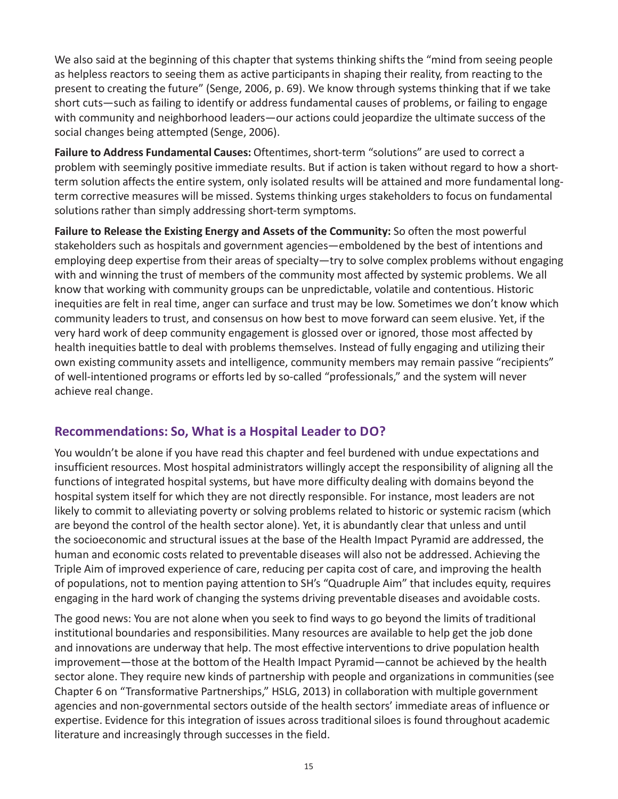We also said at the beginning of this chapter that systems thinking shifts the "mind from seeing people as helpless reactors to seeing them as active participantsin shaping their reality, from reacting to the present to creating the future" (Senge, 2006, p. 69). We know through systems thinking that if we take short cuts—such as failing to identify or address fundamental causes of problems, or failing to engage with community and neighborhood leaders—our actions could jeopardize the ultimate success of the social changes being attempted (Senge, 2006).

**Failure to Address Fundamental Causes:** Oftentimes,short-term "solutions" are used to correct a problem with seemingly positive immediate results. But if action is taken without regard to how a shortterm solution affects the entire system, only isolated results will be attained and more fundamental longterm corrective measures will be missed. Systems thinking urges stakeholders to focus on fundamental solutions rather than simply addressing short-term symptoms.

**Failure to Release the Existing Energy and Assets of the Community:** So often the most powerful stakeholders such as hospitals and government agencies—emboldened by the best of intentions and employing deep expertise from their areas of specialty—try to solve complex problems without engaging with and winning the trust of members of the community most affected by systemic problems. We all know that working with community groups can be unpredictable, volatile and contentious. Historic inequities are felt in real time, anger can surface and trust may be low. Sometimes we don't know which community leaders to trust, and consensus on how best to move forward can seem elusive. Yet, if the very hard work of deep community engagement is glossed over or ignored, those most affected by health inequities battle to deal with problems themselves. Instead of fully engaging and utilizing their own existing community assets and intelligence, community members may remain passive "recipients" of well-intentioned programs or efforts led by so-called "professionals," and the system will never achieve real change.

## **Recommendations: So, What is a Hospital Leader to DO?**

You wouldn't be alone if you have read this chapter and feel burdened with undue expectations and insufficient resources. Most hospital administrators willingly accept the responsibility of aligning all the functions of integrated hospital systems, but have more difficulty dealing with domains beyond the hospital system itself for which they are not directly responsible. For instance, most leaders are not likely to commit to alleviating poverty or solving problems related to historic or systemic racism (which are beyond the control of the health sector alone). Yet, it is abundantly clear that unless and until the socioeconomic and structural issues at the base of the Health Impact Pyramid are addressed, the human and economic costs related to preventable diseases will also not be addressed. Achieving the Triple Aim of improved experience of care, reducing per capita cost of care, and improving the health of populations, not to mention paying attention to SH's "Quadruple Aim" that includes equity, requires engaging in the hard work of changing the systems driving preventable diseases and avoidable costs.

The good news: You are not alone when you seek to find ways to go beyond the limits of traditional institutional boundaries and responsibilities. Many resources are available to help get the job done and innovations are underway that help. The most effective interventionsto drive population health improvement—those at the bottom of the Health Impact Pyramid—cannot be achieved by the health sector alone. They require new kinds of partnership with people and organizations in communities (see Chapter 6 on "Transformative Partnerships," HSLG, 2013) in collaboration with multiple government agencies and non-governmental sectors outside of the health sectors' immediate areas of influence or expertise. Evidence for this integration of issues across traditional siloes is found throughout academic literature and increasingly through successes in the field.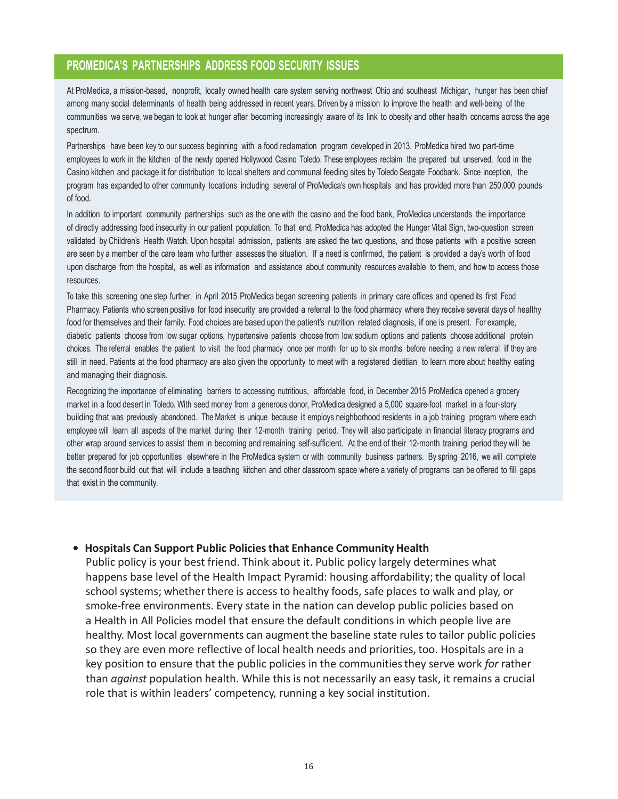#### **PROMEDICA'S PARTNERSHIPS ADDRESS FOOD SECURITY ISSUES**

At ProMedica, a mission-based, nonprofit, locally owned health care system serving northwest Ohio and southeast Michigan, hunger has been chief among many social determinants of health being addressed in recent years. Driven by a mission to improve the health and well-being of the communities we serve, we began to look at hunger after becoming increasingly aware of its link to obesity and other health concerns across the age spectrum.

Partnerships have been key to our success beginning with a food reclamation program developed in 2013. ProMedica hired two part-time employees to work in the kitchen of the newly opened Hollywood Casino Toledo. These employees reclaim the prepared but unserved, food in the Casino kitchen and package it for distribution to local shelters and communal feeding sites by Toledo Seagate Foodbank. Since inception, the program has expanded to other community locations including several of ProMedica's own hospitals and has provided more than 250,000 pounds of food.

In addition to important community partnerships such as the one with the casino and the food bank, ProMedica understands the importance of directly addressing food insecurity in our patient population. To that end, ProMedica has adopted the Hunger Vital Sign, two-question screen validated by Children's Health Watch. Upon hospital admission, patients are asked the two questions, and those patients with a positive screen are seen by a member of the care team who further assesses the situation. If a need is confirmed, the patient is provided a day's worth of food upon discharge from the hospital, as well as information and assistance about community resources available to them, and how to access those resources.

To take this screening one step further, in April 2015 ProMedica began screening patients in primary care offices and opened its first Food Pharmacy. Patients who screen positive for food insecurity are provided a referral to the food pharmacy where they receive several days of healthy food for themselves and their family. Food choices are based upon the patient's nutrition related diagnosis, if one is present. For example, diabetic patients choose from low sugar options, hypertensive patients choose from low sodium options and patients choose additional protein choices. The referral enables the patient to visit the food pharmacy once per month for up to six months before needing a new referral if they are still in need. Patients at the food pharmacy are also given the opportunity to meet with a registered dietitian to learn more about healthy eating and managing their diagnosis.

Recognizing the importance of eliminating barriers to accessing nutritious, affordable food, in December 2015 ProMedica opened a grocery market in a food desert in Toledo. With seed money from a generous donor, ProMedica designed a 5,000 square-foot market in a four-story building that was previously abandoned. The Market is unique because it employs neighborhood residents in a job training program where each employee will learn all aspects of the market during their 12-month training period. They will also participate in financial literacy programs and other wrap around services to assist them in becoming and remaining self-sufficient. At the end of their 12-month training period they will be better prepared for job opportunities elsewhere in the ProMedica system or with community business partners. By spring 2016, we will complete the second floor build out that will include a teaching kitchen and other classroom space where a variety of programs can be offered to fill gaps that exist in the community.

#### **• Hospitals Can Support Public Policiesthat Enhance Community Health**

Public policy is your best friend. Think about it. Public policy largely determines what happens base level of the Health Impact Pyramid: housing affordability; the quality of local school systems; whether there is access to healthy foods, safe places to walk and play, or smoke-free environments. Every state in the nation can develop public policies based on a Health in All Policies model that ensure the default conditionsin which people live are healthy. Most local governments can augment the baseline state rules to tailor public policies so they are even more reflective of local health needs and priorities, too. Hospitals are in a key position to ensure that the public policies in the communitiesthey serve work *for* rather than *against* population health. While this is not necessarily an easy task, it remains a crucial role that is within leaders' competency, running a key social institution.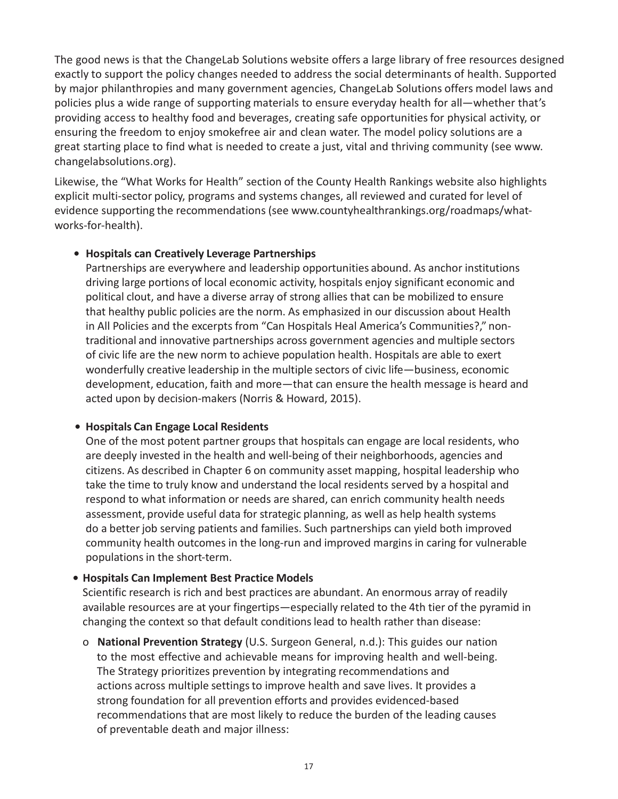The good news is that the ChangeLab Solutions website offers a large library of free resources designed exactly to support the policy changes needed to address the social determinants of health. Supported by major philanthropies and many government agencies, ChangeLab Solutions offers model laws and policies plus a wide range of supporting materials to ensure everyday health for all—whether that's providing access to healthy food and beverages, creating safe opportunitiesfor physical activity, or ensuring the freedom to enjoy smokefree air and clean water. The model policy solutions are a great starting place to find what is needed to create a just, vital and thriving community (see [www.](http://www/)  changelabsolutions.org).

Likewise, the "What Works for Health" section of the County Health Rankings website also highlights explicit multi-sector policy, programs and systems changes, all reviewed and curated for level of evidence supporting the recommendations [\(see www.countyhealthrankings.org/roadmaps/what](http://www.countyhealthrankings.org/roadmaps/what-)works-for-health).

#### **• Hospitals can Creatively Leverage Partnerships**

Partnerships are everywhere and leadership opportunities abound. As anchor institutions driving large portions of local economic activity, hospitals enjoy significant economic and political clout, and have a diverse array of strong allies that can be mobilized to ensure that healthy public policies are the norm. As emphasized in our discussion about Health in All Policies and the excerpts from "Can Hospitals Heal America's Communities?," nontraditional and innovative partnerships across government agencies and multiple sectors of civic life are the new norm to achieve population health. Hospitals are able to exert wonderfully creative leadership in the multiple sectors of civic life—business, economic development, education, faith and more—that can ensure the health message is heard and acted upon by decision-makers (Norris & Howard, 2015).

#### **• Hospitals Can Engage Local Residents**

One of the most potent partner groups that hospitals can engage are local residents, who are deeply invested in the health and well-being of their neighborhoods, agencies and citizens. As described in Chapter 6 on community asset mapping, hospital leadership who take the time to truly know and understand the local residents served by a hospital and respond to what information or needs are shared, can enrich community health needs assessment, provide useful data for strategic planning, as well as help health systems do a better job serving patients and families. Such partnerships can yield both improved community health outcomes in the long-run and improved margins in caring for vulnerable populations in the short-term.

#### **• Hospitals Can Implement Best Practice Models**

Scientific research is rich and best practices are abundant. An enormous array of readily available resources are at your fingertips—especially related to the 4th tier of the pyramid in changing the context so that default conditionslead to health rather than disease:

o **National Prevention Strategy** (U.S. Surgeon General, n.d.): This guides our nation to the most effective and achievable means for improving health and well-being. The Strategy prioritizes prevention by integrating recommendations and actions across multiple settings to improve health and save lives. It provides a strong foundation for all prevention efforts and provides evidenced-based recommendations that are most likely to reduce the burden of the leading causes of preventable death and major illness: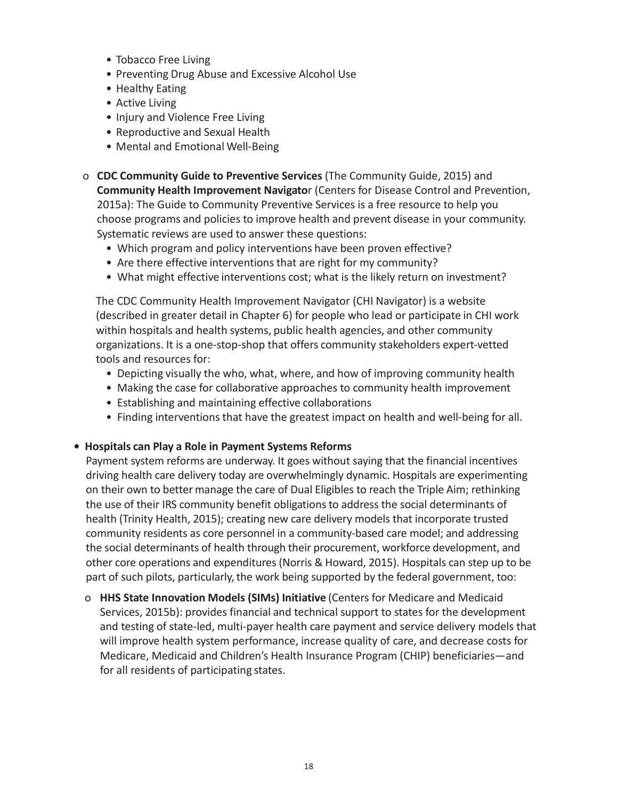- Tobacco Free Living
- Preventing Drug Abuse and Excessive Alcohol Use
- Healthy Eating
- Active Living
- Injury and Violence Free Living
- Reproductive and Sexual Health
- Mental and Emotional Well-Being
- o **CDC Community Guide to Preventive Services** (The Community Guide, 2015) and **Community Health Improvement Navigato**r (Centers for Disease Control and Prevention, 2015a): The Guide to Community Preventive Services is a free resource to help you choose programs and policies to improve health and prevent disease in your community. Systematic reviews are used to answer these questions:
	- Which program and policy interventions have been proven effective?
	- Are there effective interventions that are right for my community?
	- What might effective interventions cost; what is the likely return on investment?

The CDC Community Health Improvement Navigator (CHI Navigator) is a website (described in greater detail in Chapter 6) for people who lead or participate in CHI work within hospitals and health systems, public health agencies, and other community organizations. It is a one-stop-shop that offers community stakeholders expert-vetted tools and resources for:

- Depicting visually the who, what, where, and how of improving community health
- Making the case for collaborative approaches to community health improvement
- Establishing and maintaining effective collaborations
- Finding interventions that have the greatest impact on health and well-being for all.

#### **• Hospitals can Play a Role in Payment Systems Reforms**

Payment system reforms are underway. It goes without saying that the financial incentives driving health care delivery today are overwhelmingly dynamic. Hospitals are experimenting on their own to better manage the care of Dual Eligibles to reach the Triple Aim; rethinking the use of their IRS community benefit obligationsto address the social determinants of health (Trinity Health, 2015); creating new care delivery models that incorporate trusted community residents as core personnel in a community-based care model; and addressing the social determinants of health through their procurement, workforce development, and other core operations and expenditures (Norris & Howard, 2015). Hospitals can step up to be part of such pilots, particularly, the work being supported by the federal government, too:

o **HHS State Innovation Models (SIMs) Initiative** (Centers for Medicare and Medicaid Services, 2015b): provides financial and technical support to states for the development and testing of state-led, multi-payer health care payment and service delivery models that will improve health system performance, increase quality of care, and decrease costs for Medicare, Medicaid and Children's Health Insurance Program (CHIP) beneficiaries—and for all residents of participating states.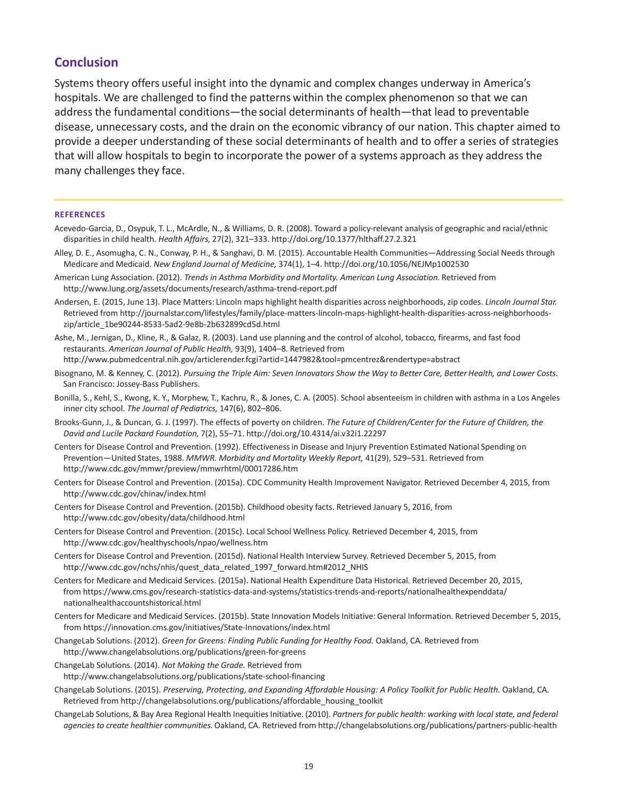#### **Conclusion**

Systems theory offers useful insight into the dynamic and complex changes underway in America's hospitals. We are challenged to find the patterns within the complex phenomenon so that we can address the fundamental conditions—the social determinants of health—that lead to preventable disease, unnecessary costs, and the drain on the economic vibrancy of our nation. This chapter aimed to provide a deeper understanding of these social determinants of health and to offer a series of strategies that will allow hospitals to begin to incorporate the power of a systems approach as they address the many challenges they face.

#### **REFERENCES**

- Acevedo-Garcia, D., Osypuk, T. L., McArdle, N., & Williams, D. R. (2008). Toward a policy-relevant analysis of geographic and racial/ethnic disparitiesin child health. *Health Affairs,* 27(2), 321–333. <http://doi.org/10.1377/hlthaff.27.2.321>
- Alley, D. E., Asomugha, C. N., Conway, P. H., & Sanghavi, D. M. (2015). Accountable Health Communities—Addressing Social Needs through Medicare and Medicaid. *New England Journal of Medicine,* 374(1), 1–4. <http://doi.org/10.1056/NEJMp1002530>
- American Lung Association. (2012). *Trends in Asthma Morbidity and Mortality. American Lung Association.* Retrieved from <http://www.lung.org/assets/documents/research/asthma-trend-report.pdf>
- Andersen, E. (2015, June 13). Place Matters: Lincoln maps highlight health disparities across neighborhoods, zip codes. *Lincoln Journal Star.*  Retrieved from [http://journalstar.com/lifestyles/family/place-matters-lincoln-maps-highlight-health-disparities-across-neighborhoods](http://journalstar.com/lifestyles/family/place-matters-lincoln-maps-highlight-health-disparities-across-neighborhoods-)zip/article\_1be90244-8533-5ad2-9e8b-2b632899cd5d.html
- Ashe, M., Jernigan, D., Kline, R., & Galaz, R. (2003). Land use planning and the control of alcohol, tobacco, firearms, and fast food restaurants. *American Journal of Public Health,* 93(9), 1404–8. Retrieved from
- <http://www.pubmedcentral.nih.gov/articlerender.fcgi?artid=1447982&tool=pmcentrez&rendertype=abstract>
- Bisognano, M. & Kenney, C. (2012). Pursuing the Triple Aim: Seven Innovators Show the Way to Better Care, Better Health, and Lower Costs. San Francisco: Jossey-Bass Publishers.
- Bonilla, S., Kehl, S., Kwong, K. Y., Morphew, T., Kachru, R., & Jones, C. A. (2005). School absenteeism in children with asthma in a Los Angeles inner city school. *The Journal of Pediatrics,* 147(6), 802–806.
- Brooks-Gunn, J., & Duncan, G. J. (1997). The effects of poverty on children. *The Future of Children/Center for the Future of Children, the David and Lucile Packard Foundation,* 7(2), 55–71. <http://doi.org/10.4314/ai.v32i1.22297>
- Centers for Disease Control and Prevention. (1992). Effectivenessin Disease and Injury Prevention Estimated National Spending on Prevention—United States, 1988. *MMWR. Morbidity and Mortality Weekly Report,* 41(29), 529–531. Retrieved from <http://www.cdc.gov/mmwr/preview/mmwrhtml/00017286.htm>
- Centers for Disease Control and Prevention. (2015a). CDC Community Health Improvement Navigator. Retrieved December 4, 2015, from <http://www.cdc.gov/chinav/index.html>
- Centers for Disease Control and Prevention. (2015b). Childhood obesity facts. Retrieved January 5, 2016, from <http://www.cdc.gov/obesity/data/childhood.html>
- Centers for Disease Control and Prevention. (2015c). Local School Wellness Policy. Retrieved December 4, 2015, from <http://www.cdc.gov/healthyschools/npao/wellness.htm>
- Centers for Disease Control and Prevention. (2015d). National Health Interview Survey. Retrieved December 5, 2015, from [http://www.cdc.gov/nchs/nhis/quest\\_data\\_related\\_1997\\_forward.htm#2012\\_NHIS](http://www.cdc.gov/nchs/nhis/quest_data_related_1997_forward.htm#2012_NHIS)
- Centers for Medicare and Medicaid Services. (2015a). National Health Expenditure Data Historical. Retrieved December 20, 2015, from htt[ps://w](http://www.cms.gov/research-statistics-data-and-systems/statistics-trends-and-reports/nationalhealthexpenddata/)w[w.cms.gov/research-statistics-data-and-systems/statistics-trends-and-reports/nationalhealthexpenddata/](http://www.cms.gov/research-statistics-data-and-systems/statistics-trends-and-reports/nationalhealthexpenddata/) nationalhealthaccountshistorical.html
- Centers for Medicare and Medicaid Services. (2015b). State Innovation Models Initiative: General Information. Retrieved December 5, 2015, from https://innovation.cms.gov/initiatives/State-Innovations/index.html
- ChangeLab Solutions. (2012). *Green for Greens: Finding Public Funding for Healthy Food.* Oakland, CA. Retrieved from <http://www.changelabsolutions.org/publications/green-for-greens>
- ChangeLab Solutions. (2014). *Not Making the Grade.* Retrieved from <http://www.changelabsolutions.org/publications/state-school-financing>
- ChangeLab Solutions. (2015). *Preserving, Protecting, and Expanding Affordable Housing: A Policy Toolkit for Public Health.* Oakland, CA. Retrieved f[rom http://changelabsolutions.org/publications/affordable\\_housing\\_toolkit](http://changelabsolutions.org/publications/affordable_housing_toolkit)
- ChangeLab Solutions, & Bay Area Regional Health Inequities Initiative. (2010). Partners for public health: working with local state, and federal *agencies to create healthier communities.*Oakland, CA. Retrieved from <http://changelabsolutions.org/publications/partners-public-health>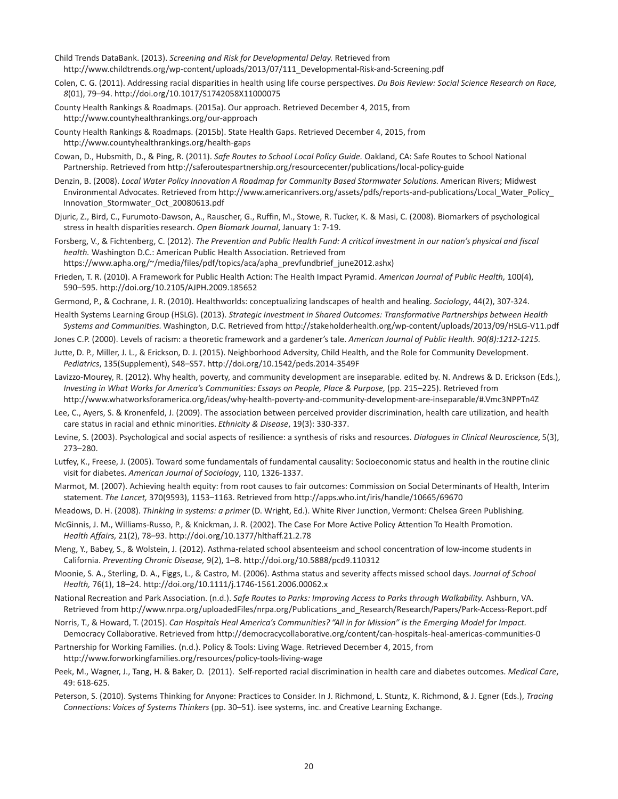- Child Trends DataBank. (2013). *Screening and Risk for Developmental Delay.* Retrieved fro[m](http://www.childtrends.org/wp-content/uploads/2013/07/111_Developmental-Risk-and-Screening.pdf) [http://www.childtrends.org/wp-content/uploads/2013/07/111\\_Developmental-Risk-and-Screening.pdf](http://www.childtrends.org/wp-content/uploads/2013/07/111_Developmental-Risk-and-Screening.pdf)
- Colen, C. G. (2011). Addressing racial disparitiesin health using life course perspectives. *Du Bois Review: Social Science Research on Race, 8*(01), [79–94. http://doi.org/10.1017/S1742058X11000075](http://doi.org/10.1017/S1742058X11000075)
- County Health Rankings & Roadmaps. (2015a). Our approach. Retrieved December 4, 2015, fro[m](http://www.countyhealthrankings.org/our-approach) <http://www.countyhealthrankings.org/our-approach>
- County Health Rankings & Roadmaps. (2015b). State Health Gaps. Retrieved December 4, 2015, fro[m](http://www.countyhealthrankings.org/health-gaps) <http://www.countyhealthrankings.org/health-gaps>
- Cowan, D., Hubsmith, D., & Ping, R. (2011). *Safe Routes to School Local Policy Guide.* Oakland, CA: Safe Routes to School National Partnership. Retrieved f[rom http://saferoutespartnership.org/resourcecenter/publications/local-policy-guide](http://saferoutespartnership.org/resourcecenter/publications/local-policy-guide)
- Denzin, B. (2008). *Local Water Policy Innovation A Roadmap for Community Based Stormwater Solutions.* American Rivers; Midwest Environmental Advocates. Retrieved f[rom http://www.americanrivers.org/assets/pdfs/reports-and-publications/Local\\_Water\\_Policy\\_](http://www.americanrivers.org/assets/pdfs/reports-and-publications/Local_Water_Policy_) Innovation\_Stormwater\_Oct\_20080613.pdf
- Djuric, Z., Bird, C., Furumoto-Dawson, A., Rauscher, G., Ruffin, M., Stowe, R. Tucker, K. & Masi, C. (2008). Biomarkers of psychological stress in health disparities research. Open Biomark Journal, January 1: 7-19.
- Forsberg, V., & Fichtenberg, C. (2012). *The Prevention and Public Health Fund: A critical investment in our nation's physical and fiscal health.* Washington D.C.: American Public Health Association. Retrieved from htt[ps://www.apha.org/~/media/files/pdf/topics/aca/apha\\_prevfundbrief\\_june2012.ashx\)](http://www.apha.org/~/media/files/pdf/topics/aca/apha_prevfundbrief_june2012.ashx))
- Frieden, T. R. (2010). A Framework for Public Health Action: The Health Impact Pyramid. *American Journal of Public Health,* 100(4), [590–595. http://doi.org/10.2105/AJPH.2009.185652](http://doi.org/10.2105/AJPH.2009.185652)
- Germond, P., & Cochrane, J. R. (2010). Healthworlds: conceptualizing landscapes of health and healing. *Sociology*, 44(2), 307-324.
- Health Systems Learning Group (HSLG). (2013). *Strategic Investment in Shared Outcomes: Transformative Partnerships between Health Systems and Communities.* Washington, D.C. Retrieved f[rom http://stakeholderhealth.org/wp-content/uploads/2013/09/HSLG-V11.pdf](http://stakeholderhealth.org/wp-content/uploads/2013/09/HSLG-V11.pdf)
- Jones C.P. (2000). Levels of racism: a theoretic framework and a gardener's tale. *American Journal of Public Health. 90(8):1212-1215.*
- Jutte, D. P., Miller, J. L., & Erickson, D. J. (2015). Neighborhood Adversity, Child Health, and the Role for Community Development. *Pediatrics*, 135(Suppleme[nt\), S48–S57. http://doi.org/10.1542/peds.2014-3549F](http://doi.org/10.1542/peds.2014-3549F)
- Lavizzo-Mourey, R. (2012). Why health, poverty, and community development are inseparable. edited by. N. Andrews & D. Erickson (Eds.), *Investing in What Works for America's Communities: Essays on People, Place & Purpose,* (pp. 215–225). Retrieved fro[m](http://www.whatworksforamerica.org/ideas/why-health-poverty-and-community-development-are-inseparable/#.Vmc3NPPTn4Z) <http://www.whatworksforamerica.org/ideas/why-health-poverty-and-community-development-are-inseparable/#.Vmc3NPPTn4Z>
- Lee, C., Ayers, S. & Kronenfeld, J. (2009). The association between perceived provider discrimination, health care utilization, and health care status in racial and ethnic minorities. *Ethnicity & Disease*, 19(3): 330-337.
- Levine, S. (2003). Psychological and social aspects of resilience: a synthesis of risks and resources. *Dialogues in Clinical Neuroscience,* 5(3), 273–280.
- Lutfey, K., Freese, J. (2005). Toward some fundamentals of fundamental causality: Socioeconomic status and health in the routine clinic visit for diabetes. *American Journal of Sociology*, 110, 1326-1337.
- Marmot, M. (2007). Achieving health equity: from root causes to fair outcomes: Commission on Social Determinants of Health, Interim statement. *The Lancet,* 370(9593), 1153–1163. Retrieved f[rom http://apps.who.int/iris/handle/10665/69670](http://apps.who.int/iris/handle/10665/69670)
- Meadows, D. H. (2008). *Thinking in systems: a primer* (D. Wright, Ed.). White River Junction, Vermont: Chelsea Green Publishing.
- McGinnis, J. M., Williams-Russo, P., & Knickman, J. R. (2002). The Case For More Active Policy Attention To Health Promotion. *Health Affairs,* [21\(2\), 78–93. http://doi.org/10.1377/hlthaff.21.2.78](http://doi.org/10.1377/hlthaff.21.2.78)
- Meng, Y., Babey, S., & Wolstein, J. (2012). Asthma-related school absenteeism and school concentration of low-income students in California. *Preventing Chronic Disease,* [9\(2\), 1–8. http://doi.org/10.5888/pcd9.110312](http://doi.org/10.5888/pcd9.110312)
- Moonie, S. A., Sterling, D. A., Figgs, L., & Castro, M. (2006). Asthma status and severity affects missed school days. *Journal of School Health,* [76\(1\), 18–24. http://doi.org/10.1111/j.1746-1561.2006.00062.x](http://doi.org/10.1111/j.1746-1561.2006.00062.x)
- National Recreation and Park Association. (n.d.). *Safe Routes to Parks: Improving Access to Parks through Walkability.* Ashburn, VA. Retrieved f[rom http://www.nrpa.org/uploadedFiles/nrpa.org/Publications\\_and\\_Research/Research/Papers/Park-Access-Report.pdf](http://www.nrpa.org/uploadedFiles/nrpa.org/Publications_and_Research/Research/Papers/Park-Access-Report.pdf)
- Norris, T., & Howard, T. (2015). *Can Hospitals Heal America's Communities? "All in for Mission" is the Emerging Model for Impact.* Democracy Collaborative. Retrieved f[rom http://democracycollaborative.org/content/can-hospitals-heal-americas-communities-0](http://democracycollaborative.org/content/can-hospitals-heal-americas-communities-0)
- Partnership for Working Families. (n.d.). Policy & Tools: Living Wage. Retrieved December 4, 2015, fro[m](http://www.forworkingfamilies.org/resources/policy-tools-living-wage) <http://www.forworkingfamilies.org/resources/policy-tools-living-wage>
- Peek, M., Wagner, J., Tang, H. & Baker, D. (2011). Self-reported racial discrimination in health care and diabetes outcomes. *Medical Care*, 49: 618-625.
- Peterson, S. (2010). Systems Thinking for Anyone: Practices to Consider. In J. Richmond, L. Stuntz, K. Richmond, & J. Egner (Eds.), *Tracing Connections: Voices of Systems Thinkers* (pp. 30–51). isee systems, inc. and Creative Learning Exchange.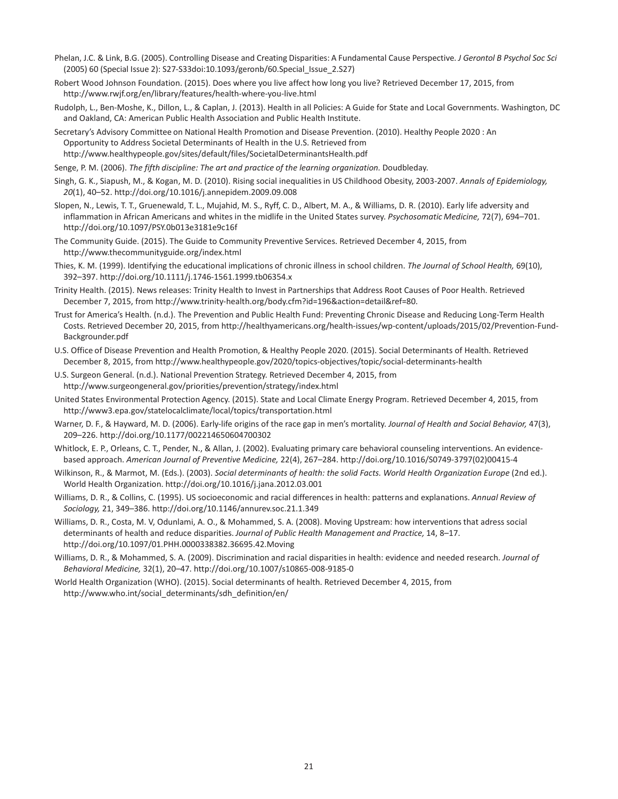- Phelan, J.C. & Link, B.G. (2005). Controlling Disease and Creating Disparities: A Fundamental Cause Perspective. *J Gerontol B Psychol Soc Sci* (2005) 60 (Special Issue 2): S27-S33doi:10.1093/geronb/60.Special\_Issue\_2.S27)
- Robert Wood Johnson Foundation. (2015). Does where you live affect how long you live? Retrieved December 17, 2015, fro[m](http://www.rwjf.org/en/library/features/health-where-you-live.html) <http://www.rwjf.org/en/library/features/health-where-you-live.html>
- Rudolph, L., Ben-Moshe, K., Dillon, L., & Caplan, J. (2013). Health in all Policies: A Guide for State and Local Governments. Washington, DC and Oakland, CA: American Public Health Association and Public Health Institute.
- Secretary's Advisory Committee on National Health Promotion and Disease Prevention. (2010). Healthy People 2020 : An Opportunity to Address Societal Determinants of Health in the U.S. Retrieved fro[m](http://www.healthypeople.gov/sites/default/files/SocietalDeterminantsHealth.pdf) <http://www.healthypeople.gov/sites/default/files/SocietalDeterminantsHealth.pdf>
- Senge, P. M. (2006). *The fifth discipline: The art and practice of the learning organization.* Doudbleday.
- Singh, G. K., Siapush, M., & Kogan, M. D. (2010). Rising social inequalitiesin US Childhood Obesity, 2003-2007. *Annals of Epidemiology, 20*[\(1\), 40–52. http://doi.org/10.1016/j.annepidem.2009.09.008](http://doi.org/10.1016/j.annepidem.2009.09.008)
- Slopen, N., Lewis, T. T., Gruenewald, T. L., Mujahid, M. S., Ryff, C. D., Albert, M. A., & Williams, D. R. (2010). Early life adversity and inflammation in African Americans and whites in the midlife in the United States survey. *Psychosomatic Medicine,* 72(7), 694–701[.](http://doi.org/10.1097/PSY.0b013e3181e9c16f) <http://doi.org/10.1097/PSY.0b013e3181e9c16f>
- The Community Guide. (2015). The Guide to Community Preventive Services. Retrieved December 4, 2015, fro[m](http://www.thecommunityguide.org/index.html) <http://www.thecommunityguide.org/index.html>
- Thies, K. M. (1999). Identifying the educational implications of chronic illness in school children. *The Journal of School Health,* 69(10), [392–397. http://doi.org/10.1111/j.1746-1561.1999.tb06354.x](http://doi.org/10.1111/j.1746-1561.1999.tb06354.x)
- Trinity Health. (2015). News releases: Trinity Health to Invest in Partnerships that Address Root Causes of Poor Health. Retrieved December 7, 2015, f[rom http://www.trinity-health.org/body.cfm?id=196&action=detail&ref=80.](http://www.trinity-health.org/body.cfm?id=196&action=detail&ref=80)
- Trust for America's Health. (n.d.). The Prevention and Public Health Fund: Preventing Chronic Disease and Reducing Long-Term Health Costs. Retrieved December 20, 2015, f[rom http://healthyamericans.org/health-issues/wp-content/uploads/2015/02/Prevention-Fund-](http://healthyamericans.org/health-issues/wp-content/uploads/2015/02/Prevention-Fund-)Backgrounder.pdf
- U.S. Office of Disease Prevention and Health Promotion, & Healthy People 2020. (2015). Social Determinants of Health. Retrieved December 8, 2015, f[rom http://www.healthypeople.gov/2020/topics-objectives/topic/social-determinants-health](http://www.healthypeople.gov/2020/topics-objectives/topic/social-determinants-health)
- U.S. Surgeon General. (n.d.). National Prevention Strategy. Retrieved December 4, 2015, fro[m](http://www.surgeongeneral.gov/priorities/prevention/strategy/index.html) <http://www.surgeongeneral.gov/priorities/prevention/strategy/index.html>
- United States Environmental Protection Agency. (2015). State and Local Climate Energy Program. Retrieved December 4, 2015, fro[m](http://www3.epa.gov/statelocalclimate/local/topics/transportation.html) <http://www3.epa.gov/statelocalclimate/local/topics/transportation.html>
- Warner, D. F., & Hayward, M. D. (2006). Early-life origins of the race gap in men's mortality. *Journal of Health and Social Behavior,* 47(3), [209–226. http://doi.org/10.1177/002214650604700302](http://doi.org/10.1177/002214650604700302)
- Whitlock, E. P., Orleans, C. T., Pender, N., & Allan, J. (2002). Evaluating primary care behavioral counseling interventions. An evidencebased approach. *American Journal of Preventive Medicine,* [22\(4\), 267–284. http://doi.org/10.1016/S0749-3797\(02\)00415-4](http://doi.org/10.1016/S0749-3797(02)00415-4)
- Wilkinson, R., & Marmot, M. (Eds.). (2003). *Social determinants of health: the solid Facts. World Health Organization Europe* (2nd ed.). World Health Organization. <http://doi.org/10.1016/j.jana.2012.03.001>
- Williams, D. R., & Collins, C. (1995). US socioeconomic and racial differencesin health: patterns and explanations. *Annual Review of Sociology,* [21, 349–386. http://doi.org/10.1146/annurev.soc.21.1.349](http://doi.org/10.1146/annurev.soc.21.1.349)
- Williams, D. R., Costa, M. V, Odunlami, A. O., & Mohammed, S. A. (2008). Moving Upstream: how interventionsthat adress social determinants of health and reduce disparities. *Journal of Public Health Management and Practice,* 14, 8–17[.](http://doi.org/10.1097/01.PHH.0000338382.36695.42.Moving) <http://doi.org/10.1097/01.PHH.0000338382.36695.42.Moving>
- Williams, D. R., & Mohammed, S. A. (2009). Discrimination and racial disparitiesin health: evidence and needed research. *Journal of Behavioral Medicine,* [32\(1\), 20–47. http://doi.org/10.1007/s10865-008-9185-0](http://doi.org/10.1007/s10865-008-9185-0)
- World Health Organization (WHO). (2015). Social determinants of health. Retrieved December 4, 2015, fro[m](http://www.who.int/social_determinants/sdh_definition/en/) [http://www.who.int/social\\_determinants/sdh\\_definition/en/](http://www.who.int/social_determinants/sdh_definition/en/)